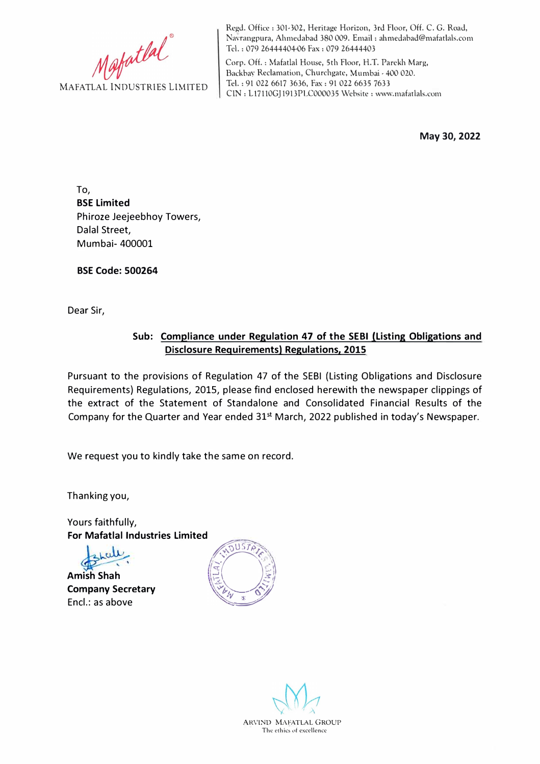Mafatlal

Regd. Office: 301-302, Heritage Horizon, 3rd Floor, Off. C. G. Road, Navrangpura, Ahmedabad 380 009. Email: ahmedabad@mafatlals.com Tel. : 079 26444404-06 Fax: 079 26444403

Corp. Off. : Mafatlal House, 5th Floor, H.T. Parekh Marg, Backbay Reclamation, Churchgatc, Mumbai· 400 020. Tel.: 91 022 6617 3636, Fax: 91 022 6635 7633 ClN: Ll7ll0GJ 1913PLC000035 Website: www.mafatlals.com

**May 30, 2022** 

To, **BSE Limited**  Phiroze Jeejeebhoy Towers, Dalal Street, Mumbai- 400001

**BSE Code: 500264** 

Dear Sir,

## **Sub: Compliance under Regulation 47 of the SEBI (Listing Obligations and Disclosure Requirements) Regulations, 2015**

Pursuant to the provisions of Regulation 47 of the SEBI (Listing Obligations and Disclosure Requirements) Regulations, 2015, please find enclosed herewith the newspaper clippings of the extract of the Statement of Standalone and Consolidated Financial Results of the Company for the Quarter and Year ended 31<sup>st</sup> March, 2022 published in today's Newspaper.

We request you to kindly take the same on record.

Thanking you,

Yours faithfully, **For Mafatlal Industries Limited** 

**Amish Shah Company Secretary**  Encl.: as above



ARVIND MAFATLAL GROUP The ethics of excellence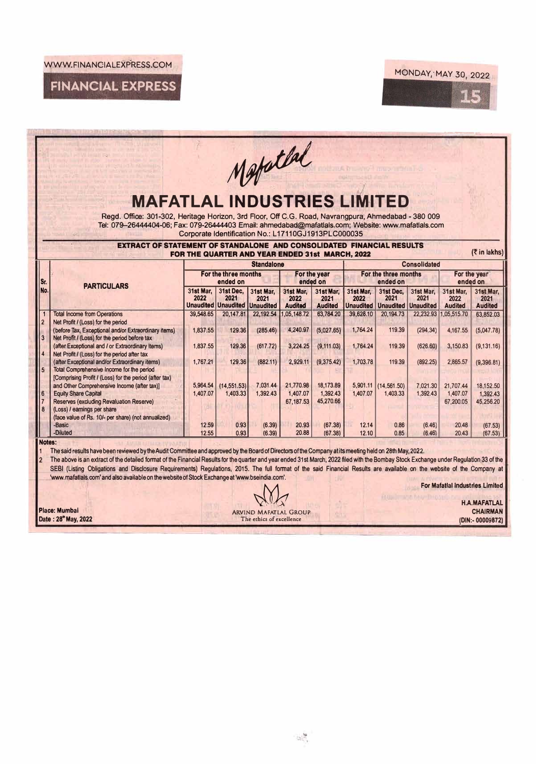WWW.FINANCIALEXPRESS.COM



**FINANCIAL EXPRESS** 

|                          | <b>MAFATLAL INDUSTRIES LIMITED</b><br>Regd. Office: 301-302, Heritage Horizon, 3rd Floor, Off C.G. Road, Navrangpura, Ahmedabad - 380 009<br>Tel: 079-26444404-06; Fax: 079-26444403 Email: ahmedabad@mafatlals.com; Website: www.mafatlals.com                                                                                                                                                                                                                                                                                                                                                                                                                                     | Corporate Identification No.: L17110GJ1913PLC000035                                         |                                                           |                          | Matatlal                            |                                     |                                  |                                                               |                      |                                        |                                                            |
|--------------------------|-------------------------------------------------------------------------------------------------------------------------------------------------------------------------------------------------------------------------------------------------------------------------------------------------------------------------------------------------------------------------------------------------------------------------------------------------------------------------------------------------------------------------------------------------------------------------------------------------------------------------------------------------------------------------------------|---------------------------------------------------------------------------------------------|-----------------------------------------------------------|--------------------------|-------------------------------------|-------------------------------------|----------------------------------|---------------------------------------------------------------|----------------------|----------------------------------------|------------------------------------------------------------|
|                          | EXTRACT OF STATEMENT OF STANDALONE AND CONSOLIDATED FINANCIAL RESULTS                                                                                                                                                                                                                                                                                                                                                                                                                                                                                                                                                                                                               |                                                                                             |                                                           |                          |                                     |                                     |                                  |                                                               |                      |                                        | (そin lakhs)                                                |
|                          |                                                                                                                                                                                                                                                                                                                                                                                                                                                                                                                                                                                                                                                                                     | FOR THE QUARTER AND YEAR ENDED 31st MARCH, 2022<br><b>Consolidated</b><br><b>Standalone</b> |                                                           |                          |                                     |                                     |                                  |                                                               |                      |                                        |                                                            |
| l Sr.                    | <b>PARTICULARS</b>                                                                                                                                                                                                                                                                                                                                                                                                                                                                                                                                                                                                                                                                  | For the three months<br>ended on                                                            |                                                           |                          | For the year<br>ended on            |                                     | For the three months<br>ended on |                                                               |                      | For the year<br>ended on               |                                                            |
| No.                      |                                                                                                                                                                                                                                                                                                                                                                                                                                                                                                                                                                                                                                                                                     | 31st Mar.<br>2022                                                                           | 31st Dec.<br>2021<br><b>Unaudited Unaudited Unaudited</b> | 31st Mar.<br>2021        | 31st Mar.<br>2022<br><b>Audited</b> | 31st Mar.<br>2021<br><b>Audited</b> | 31st Mar.<br>2022                | 31st Dec.<br>2021<br><b>Unaudited   Unaudited   Unaudited</b> | 31st Mar.<br>2021    | 31st Mar,<br>2022<br><b>Audited</b>    | 31st Mar.<br>2021<br><b>Audited</b>                        |
| 2                        | <b>Total Income from Operations</b><br>Net Profit / (Loss) for the period                                                                                                                                                                                                                                                                                                                                                                                                                                                                                                                                                                                                           | 39,548.65                                                                                   | 20,147.81                                                 | 22,192.54                | ,05,148.72                          | 63,784.20                           | 39,628.10                        | 20,194.73                                                     | 22.232.93            | 1.05,515.70                            | 63.852.03                                                  |
| 3                        | (before Tax, Exceptional and/or Extraordinary items)<br>Net Profit / (Loss) for the period before tax                                                                                                                                                                                                                                                                                                                                                                                                                                                                                                                                                                               | 1.837.55                                                                                    | 129.36                                                    | (285.46)                 | 4.240.97                            | (5,027.65)                          | 1,764.24                         | 119.39                                                        | (294.34)             | 4.167.55                               | (5.047.78)                                                 |
| $\overline{4}$           | (after Exceptional and / or Extraordinary Items)<br>Net Profit / (Loss) for the period after tax<br>(after Exceptional and/or Extraordinary items)                                                                                                                                                                                                                                                                                                                                                                                                                                                                                                                                  | 1.837.55<br>1,767.21                                                                        | 129.36<br>129.36                                          | (617.72)<br>(882.11)     | 3.224.25<br>2,929.11                | (9, 111.03)<br>(9,375.42)           | 1,764.24<br>1,703.78             | 119.39<br>119.39                                              | (626.60)<br>(892.25) | 3,150.83<br>2,865.57                   | (9, 131.16)<br>(9,396.81)                                  |
| 5                        | Total Comprehensive Income for the period<br>[Comprising Profit / (Loss) for the period (after tax)                                                                                                                                                                                                                                                                                                                                                                                                                                                                                                                                                                                 |                                                                                             |                                                           |                          |                                     |                                     |                                  |                                                               |                      |                                        |                                                            |
| 6<br>8                   | and Other Comprehensive Income (after tax)]<br><b>Equity Share Capital</b><br>Reserves (excluding Revaluation Reserve)<br>(Loss) / earnings per share<br>(face value of Rs. 10/- per share) (not annualized)                                                                                                                                                                                                                                                                                                                                                                                                                                                                        | 5,964.54<br>1,407.07                                                                        | (14, 551.53)<br>1,403.33                                  | 7,031.44<br>1,392.43     | 21,770.98<br>1,407.07<br>67.187.53  | 18,173.89<br>1,392.43<br>45,270.66  | 5,901.11<br>1,407.07             | (14, 561.50)<br>1,403.33                                      | 7.021.30<br>1,392.43 | 21.707.44<br>1,407.07<br>67,200.05     | 18,152.50<br>1,392.43<br>45,256.20                         |
|                          | -Basic<br>-Diluted                                                                                                                                                                                                                                                                                                                                                                                                                                                                                                                                                                                                                                                                  | 12.59<br>12.55                                                                              | 0.93<br>0.93                                              | (6.39)<br>(6.39)         | 20.93<br>20.88                      | (67.38)<br>(67.38)                  | 12.14<br>12.10                   | 0.86<br>0.85                                                  | (6.46)<br>(6.46)     | 20.48<br>20.43                         | (67.53)<br>(67.53)                                         |
| Notes:<br>$\overline{2}$ | The said results have been reviewed by the Audit Committee and approved by the Board of Directors of the Company at its meeting held on 28th May, 2022.<br>The above is an extract of the detailed format of the Financial Results for the quarter and year ended 31st March, 2022 filed with the Bombay Stock Exchange under Regulation 33 of the<br>SEBI (Listing Obligations and Disclosure Requirements) Regulations, 2015. The full format of the said Financial Results are available on the website of the Company at<br>'www.mafatlals.com' and also available on the website of Stock Exchange at 'www.bseindia.com'.<br>Place: Mumbai<br>Date: 28 <sup>th</sup> May, 2022 |                                                                                             |                                                           | The ethics of excellence | <b>ARVIND MAFATLAL GROUP</b>        |                                     |                                  |                                                               | HULL THAT & THURTHAM | <b>For Mafatial Industries Limited</b> | <b>H.A.MAFATLAL</b><br><b>CHAIRMAN</b><br>(DIN:- 00009872) |